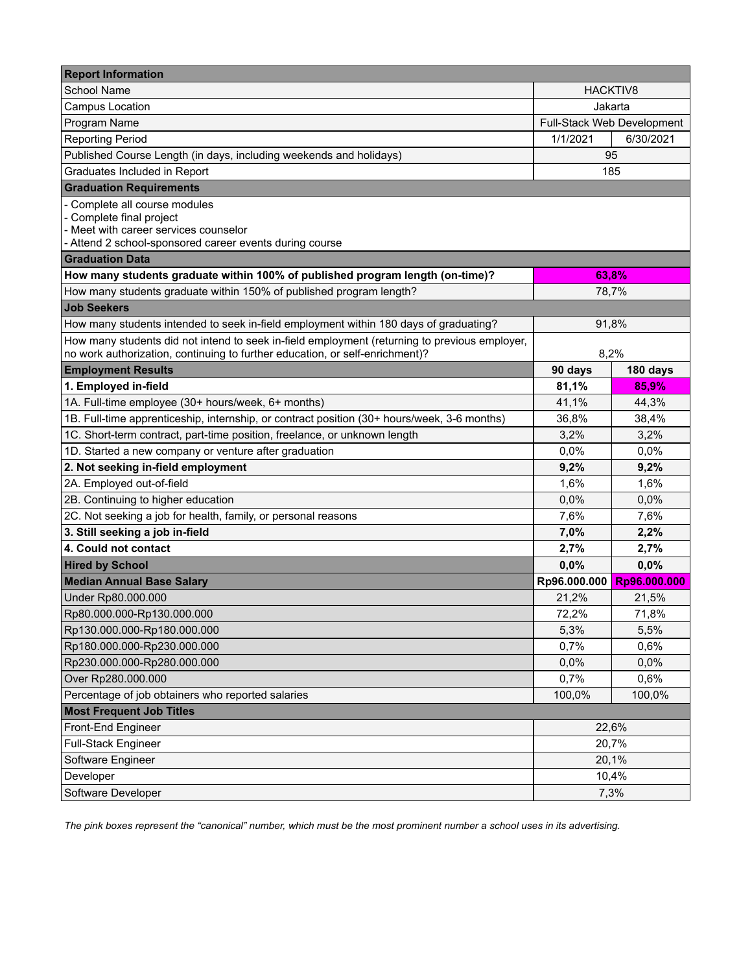| <b>Report Information</b>                                                                        |                            |              |  |  |
|--------------------------------------------------------------------------------------------------|----------------------------|--------------|--|--|
| <b>School Name</b>                                                                               | <b>HACKTIV8</b>            |              |  |  |
| <b>Campus Location</b>                                                                           | Jakarta                    |              |  |  |
| Program Name                                                                                     | Full-Stack Web Development |              |  |  |
| <b>Reporting Period</b>                                                                          | 1/1/2021                   | 6/30/2021    |  |  |
| Published Course Length (in days, including weekends and holidays)                               | 95                         |              |  |  |
| Graduates Included in Report                                                                     | 185                        |              |  |  |
| <b>Graduation Requirements</b>                                                                   |                            |              |  |  |
| - Complete all course modules                                                                    |                            |              |  |  |
| - Complete final project                                                                         |                            |              |  |  |
| - Meet with career services counselor<br>- Attend 2 school-sponsored career events during course |                            |              |  |  |
| <b>Graduation Data</b>                                                                           |                            |              |  |  |
| How many students graduate within 100% of published program length (on-time)?                    | 63,8%                      |              |  |  |
| How many students graduate within 150% of published program length?                              | 78,7%                      |              |  |  |
| <b>Job Seekers</b>                                                                               |                            |              |  |  |
| How many students intended to seek in-field employment within 180 days of graduating?            | 91,8%                      |              |  |  |
| How many students did not intend to seek in-field employment (returning to previous employer,    |                            |              |  |  |
| no work authorization, continuing to further education, or self-enrichment)?                     | 8,2%                       |              |  |  |
| <b>Employment Results</b>                                                                        | 90 days                    | 180 days     |  |  |
| 1. Employed in-field                                                                             | 81,1%                      | 85,9%        |  |  |
| 1A. Full-time employee (30+ hours/week, 6+ months)                                               | 41,1%                      | 44,3%        |  |  |
| 1B. Full-time apprenticeship, internship, or contract position (30+ hours/week, 3-6 months)      | 36,8%                      | 38,4%        |  |  |
| 1C. Short-term contract, part-time position, freelance, or unknown length                        | 3,2%                       | 3,2%         |  |  |
| 1D. Started a new company or venture after graduation                                            | 0.0%                       | 0.0%         |  |  |
| 2. Not seeking in-field employment                                                               | 9,2%                       | 9,2%         |  |  |
| 2A. Employed out-of-field                                                                        | 1,6%                       | 1,6%         |  |  |
| 2B. Continuing to higher education                                                               | 0,0%                       | 0,0%         |  |  |
| 2C. Not seeking a job for health, family, or personal reasons                                    | 7,6%                       | 7,6%         |  |  |
| 3. Still seeking a job in-field                                                                  | 7,0%                       | 2,2%         |  |  |
| 4. Could not contact                                                                             | 2,7%                       | 2,7%         |  |  |
| <b>Hired by School</b>                                                                           | 0,0%                       | 0,0%         |  |  |
| <b>Median Annual Base Salary</b>                                                                 | Rp96.000.000               | Rp96.000.000 |  |  |
| Under Rp80.000.000                                                                               | 21,2%                      | 21,5%        |  |  |
| Rp80.000.000-Rp130.000.000                                                                       | 72,2%                      | 71,8%        |  |  |
| Rp130.000.000-Rp180.000.000                                                                      | 5,3%                       | 5,5%         |  |  |
| Rp180.000.000-Rp230.000.000                                                                      | 0,7%                       | 0,6%         |  |  |
| Rp230.000.000-Rp280.000.000                                                                      | 0,0%                       | 0,0%         |  |  |
| Over Rp280.000.000                                                                               | 0,7%                       | 0,6%         |  |  |
| Percentage of job obtainers who reported salaries                                                | 100,0%                     | 100,0%       |  |  |
| <b>Most Frequent Job Titles</b>                                                                  |                            |              |  |  |
| Front-End Engineer                                                                               | 22,6%                      |              |  |  |
| Full-Stack Engineer                                                                              | 20,7%                      |              |  |  |
| Software Engineer                                                                                | 20,1%                      |              |  |  |
| Developer                                                                                        | 10,4%                      |              |  |  |
| Software Developer                                                                               | 7,3%                       |              |  |  |

*The pink boxes represent the "canonical" number, which must be the most prominent number a school uses in its advertising.*